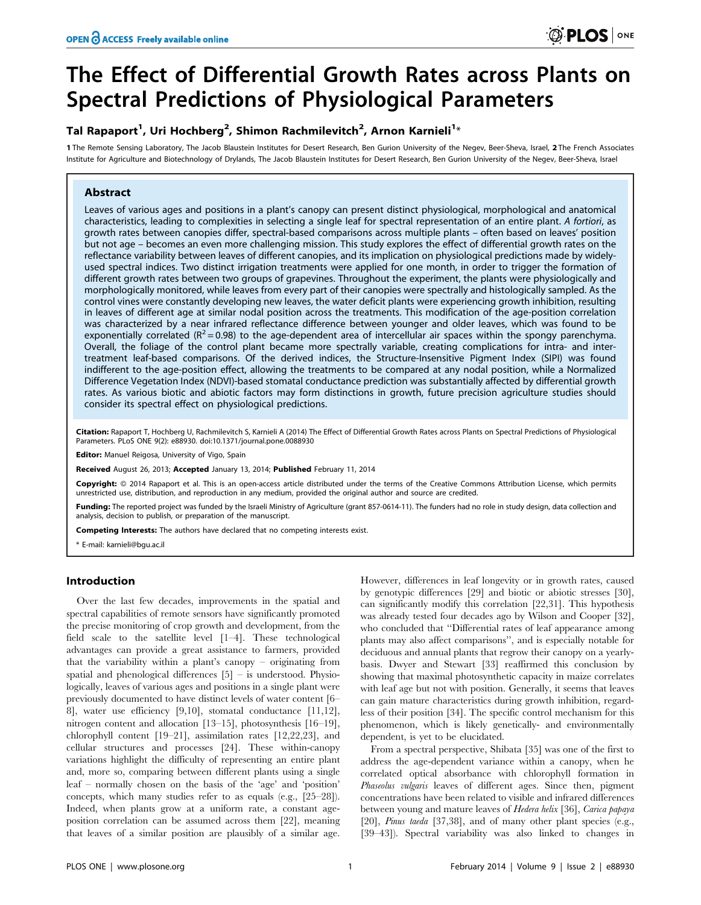# The Effect of Differential Growth Rates across Plants on Spectral Predictions of Physiological Parameters

## Tal Rapaport $^1$ , Uri Hochberg $^2$ , Shimon Rachmilevitch $^2$ , Arnon Karnieli $^{1\ast}$

1 The Remote Sensing Laboratory, The Jacob Blaustein Institutes for Desert Research, Ben Gurion University of the Negev, Beer-Sheva, Israel, 2 The French Associates Institute for Agriculture and Biotechnology of Drylands, The Jacob Blaustein Institutes for Desert Research, Ben Gurion University of the Negev, Beer-Sheva, Israel

## Abstract

Leaves of various ages and positions in a plant's canopy can present distinct physiological, morphological and anatomical characteristics, leading to complexities in selecting a single leaf for spectral representation of an entire plant. A fortiori, as growth rates between canopies differ, spectral-based comparisons across multiple plants – often based on leaves' position but not age – becomes an even more challenging mission. This study explores the effect of differential growth rates on the reflectance variability between leaves of different canopies, and its implication on physiological predictions made by widelyused spectral indices. Two distinct irrigation treatments were applied for one month, in order to trigger the formation of different growth rates between two groups of grapevines. Throughout the experiment, the plants were physiologically and morphologically monitored, while leaves from every part of their canopies were spectrally and histologically sampled. As the control vines were constantly developing new leaves, the water deficit plants were experiencing growth inhibition, resulting in leaves of different age at similar nodal position across the treatments. This modification of the age-position correlation was characterized by a near infrared reflectance difference between younger and older leaves, which was found to be exponentially correlated ( $R^2$  = 0.98) to the age-dependent area of intercellular air spaces within the spongy parenchyma. Overall, the foliage of the control plant became more spectrally variable, creating complications for intra- and intertreatment leaf-based comparisons. Of the derived indices, the Structure-Insensitive Pigment Index (SIPI) was found indifferent to the age-position effect, allowing the treatments to be compared at any nodal position, while a Normalized Difference Vegetation Index (NDVI)-based stomatal conductance prediction was substantially affected by differential growth rates. As various biotic and abiotic factors may form distinctions in growth, future precision agriculture studies should consider its spectral effect on physiological predictions.

Citation: Rapaport T, Hochberg U, Rachmilevitch S, Karnieli A (2014) The Effect of Differential Growth Rates across Plants on Spectral Predictions of Physiological Parameters. PLoS ONE 9(2): e88930. doi:10.1371/journal.pone.0088930

Editor: Manuel Reigosa, University of Vigo, Spain

Received August 26, 2013; Accepted January 13, 2014; Published February 11, 2014

**Copyright:** © 2014 Rapaport et al. This is an open-access article distributed under the terms of the Creative Commons Attribution License, which permits unrestricted use, distribution, and reproduction in any medium, provided the original author and source are credited.

Funding: The reported project was funded by the Israeli Ministry of Agriculture (grant 857-0614-11). The funders had no role in study design, data collection and analysis, decision to publish, or preparation of the manuscript.

Competing Interests: The authors have declared that no competing interests exist.

## Introduction

Over the last few decades, improvements in the spatial and spectral capabilities of remote sensors have significantly promoted the precise monitoring of crop growth and development, from the field scale to the satellite level [1–4]. These technological advantages can provide a great assistance to farmers, provided that the variability within a plant's canopy – originating from spatial and phenological differences  $[5]$  – is understood. Physiologically, leaves of various ages and positions in a single plant were previously documented to have distinct levels of water content [6– 8], water use efficiency [9,10], stomatal conductance [11,12], nitrogen content and allocation [13–15], photosynthesis [16–19], chlorophyll content [19–21], assimilation rates [12,22,23], and cellular structures and processes [24]. These within-canopy variations highlight the difficulty of representing an entire plant and, more so, comparing between different plants using a single leaf – normally chosen on the basis of the 'age' and 'position' concepts, which many studies refer to as equals (e.g., [25–28]). Indeed, when plants grow at a uniform rate, a constant ageposition correlation can be assumed across them [22], meaning that leaves of a similar position are plausibly of a similar age. However, differences in leaf longevity or in growth rates, caused by genotypic differences [29] and biotic or abiotic stresses [30], can significantly modify this correlation [22,31]. This hypothesis was already tested four decades ago by Wilson and Cooper [32], who concluded that ''Differential rates of leaf appearance among plants may also affect comparisons'', and is especially notable for deciduous and annual plants that regrow their canopy on a yearlybasis. Dwyer and Stewart [33] reaffirmed this conclusion by showing that maximal photosynthetic capacity in maize correlates with leaf age but not with position. Generally, it seems that leaves can gain mature characteristics during growth inhibition, regardless of their position [34]. The specific control mechanism for this phenomenon, which is likely genetically- and environmentally dependent, is yet to be elucidated.

From a spectral perspective, Shibata [35] was one of the first to address the age-dependent variance within a canopy, when he correlated optical absorbance with chlorophyll formation in Phaseolus vulgaris leaves of different ages. Since then, pigment concentrations have been related to visible and infrared differences between young and mature leaves of Hedera helix [36], Carica papaya [20], Pinus taeda [37,38], and of many other plant species (e.g., [39–43]). Spectral variability was also linked to changes in

<sup>\*</sup> E-mail: karnieli@bgu.ac.il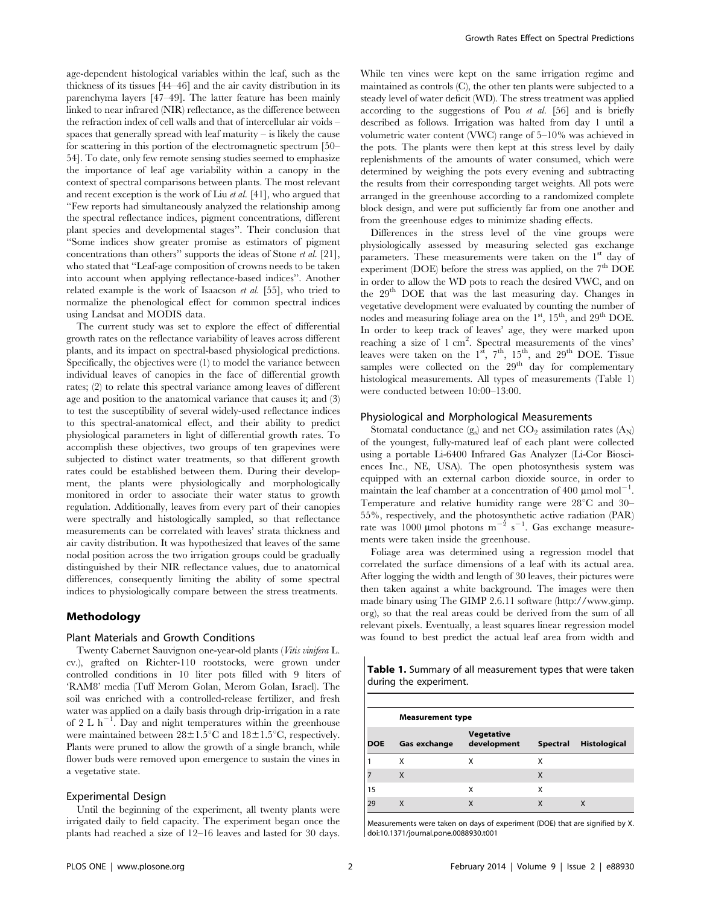age-dependent histological variables within the leaf, such as the thickness of its tissues [44–46] and the air cavity distribution in its parenchyma layers [47–49]. The latter feature has been mainly linked to near infrared (NIR) reflectance, as the difference between the refraction index of cell walls and that of intercellular air voids – spaces that generally spread with leaf maturity  $-$  is likely the cause for scattering in this portion of the electromagnetic spectrum [50– 54]. To date, only few remote sensing studies seemed to emphasize the importance of leaf age variability within a canopy in the context of spectral comparisons between plants. The most relevant and recent exception is the work of Liu et al. [41], who argued that ''Few reports had simultaneously analyzed the relationship among the spectral reflectance indices, pigment concentrations, different plant species and developmental stages''. Their conclusion that ''Some indices show greater promise as estimators of pigment concentrations than others'' supports the ideas of Stone et al. [21], who stated that ''Leaf-age composition of crowns needs to be taken into account when applying reflectance-based indices''. Another related example is the work of Isaacson et al. [55], who tried to normalize the phenological effect for common spectral indices using Landsat and MODIS data.

The current study was set to explore the effect of differential growth rates on the reflectance variability of leaves across different plants, and its impact on spectral-based physiological predictions. Specifically, the objectives were (1) to model the variance between individual leaves of canopies in the face of differential growth rates; (2) to relate this spectral variance among leaves of different age and position to the anatomical variance that causes it; and (3) to test the susceptibility of several widely-used reflectance indices to this spectral-anatomical effect, and their ability to predict physiological parameters in light of differential growth rates. To accomplish these objectives, two groups of ten grapevines were subjected to distinct water treatments, so that different growth rates could be established between them. During their development, the plants were physiologically and morphologically monitored in order to associate their water status to growth regulation. Additionally, leaves from every part of their canopies were spectrally and histologically sampled, so that reflectance measurements can be correlated with leaves' strata thickness and air cavity distribution. It was hypothesized that leaves of the same nodal position across the two irrigation groups could be gradually distinguished by their NIR reflectance values, due to anatomical differences, consequently limiting the ability of some spectral indices to physiologically compare between the stress treatments.

## Methodology

## Plant Materials and Growth Conditions

Twenty Cabernet Sauvignon one-year-old plants (Vitis vinifera L. cv.), grafted on Richter-110 rootstocks, were grown under controlled conditions in 10 liter pots filled with 9 liters of 'RAM8' media (Tuff Merom Golan, Merom Golan, Israel). The soil was enriched with a controlled-release fertilizer, and fresh water was applied on a daily basis through drip-irrigation in a rate of 2 L  $h^{-1}$ . Day and night temperatures within the greenhouse were maintained between  $28 \pm 1.5^{\circ}$ C and  $18 \pm 1.5^{\circ}$ C, respectively. Plants were pruned to allow the growth of a single branch, while flower buds were removed upon emergence to sustain the vines in a vegetative state.

#### Experimental Design

Until the beginning of the experiment, all twenty plants were irrigated daily to field capacity. The experiment began once the plants had reached a size of 12–16 leaves and lasted for 30 days.

While ten vines were kept on the same irrigation regime and maintained as controls (C), the other ten plants were subjected to a steady level of water deficit (WD). The stress treatment was applied according to the suggestions of Pou et al. [56] and is briefly described as follows. Irrigation was halted from day 1 until a volumetric water content (VWC) range of 5–10% was achieved in the pots. The plants were then kept at this stress level by daily replenishments of the amounts of water consumed, which were determined by weighing the pots every evening and subtracting the results from their corresponding target weights. All pots were arranged in the greenhouse according to a randomized complete block design, and were put sufficiently far from one another and from the greenhouse edges to minimize shading effects.

Differences in the stress level of the vine groups were physiologically assessed by measuring selected gas exchange parameters. These measurements were taken on the  $1<sup>st</sup>$  day of experiment (DOE) before the stress was applied, on the 7<sup>th</sup> DOE in order to allow the WD pots to reach the desired VWC, and on the 29<sup>th</sup> DOE that was the last measuring day. Changes in vegetative development were evaluated by counting the number of nodes and measuring foliage area on the  $1<sup>st</sup>$ ,  $15<sup>th</sup>$ , and  $29<sup>th</sup>$  DOE. In order to keep track of leaves' age, they were marked upon reaching a size of  $1 \text{ cm}^2$ . Spectral measurements of the vines' leaves were taken on the  $1^{st}$ ,  $7^{th}$ ,  $15^{th}$ , and  $29^{th}$  DOE. Tissue samples were collected on the  $29<sup>th</sup>$  day for complementary histological measurements. All types of measurements (Table 1) were conducted between 10:00–13:00.

## Physiological and Morphological Measurements

Stomatal conductance  $(g_s)$  and net  $CO_2$  assimilation rates  $(A_N)$ of the youngest, fully-matured leaf of each plant were collected using a portable Li-6400 Infrared Gas Analyzer (Li-Cor Biosciences Inc., NE, USA). The open photosynthesis system was equipped with an external carbon dioxide source, in order to maintain the leaf chamber at a concentration of  $400 \mu$ mol mol<sup>-1</sup>. Temperature and relative humidity range were  $28^{\circ}$ C and  $30-$ 55%, respectively, and the photosynthetic active radiation (PAR) rate was 1000 µmol photons  $m^{-2}$  s<sup>-1</sup>. Gas exchange measurements were taken inside the greenhouse.

Foliage area was determined using a regression model that correlated the surface dimensions of a leaf with its actual area. After logging the width and length of 30 leaves, their pictures were then taken against a white background. The images were then made binary using The GIMP 2.6.11 software (http://www.gimp. org), so that the real areas could be derived from the sum of all relevant pixels. Eventually, a least squares linear regression model was found to best predict the actual leaf area from width and

Table 1. Summary of all measurement types that were taken during the experiment.

|            | <b>Measurement type</b> |                           |          |                     |  |  |  |  |
|------------|-------------------------|---------------------------|----------|---------------------|--|--|--|--|
| <b>DOE</b> | Gas exchange            | Vegetative<br>development | Spectral | <b>Histological</b> |  |  |  |  |
|            | χ                       | х                         | x        |                     |  |  |  |  |
|            | X                       |                           | X        |                     |  |  |  |  |
| 15         |                         | Χ                         | Χ        |                     |  |  |  |  |
| 29         | χ                       | X                         | X        | X                   |  |  |  |  |

Measurements were taken on days of experiment (DOE) that are signified by X. doi:10.1371/journal.pone.0088930.t001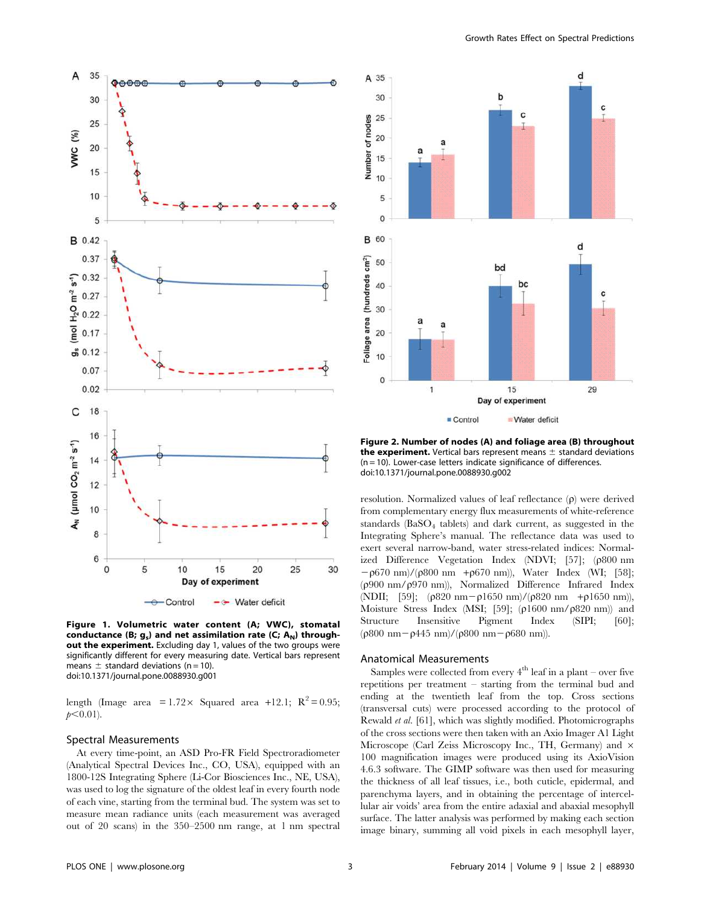

Figure 1. Volumetric water content (A; VWC), stomatal conductance (B;  $g_s$ ) and net assimilation rate (C;  $A_N$ ) throughout the experiment. Excluding day 1, values of the two groups were significantly different for every measuring date. Vertical bars represent means  $\pm$  standard deviations (n = 10). doi:10.1371/journal.pone.0088930.g001

length (Image area = 1.72 $\times$  Squared area +12.1; R<sup>2</sup>= 0.95;  $p<0.01$ ).

#### Spectral Measurements

At every time-point, an ASD Pro-FR Field Spectroradiometer (Analytical Spectral Devices Inc., CO, USA), equipped with an 1800-12S Integrating Sphere (Li-Cor Biosciences Inc., NE, USA), was used to log the signature of the oldest leaf in every fourth node of each vine, starting from the terminal bud. The system was set to measure mean radiance units (each measurement was averaged out of 20 scans) in the 350–2500 nm range, at 1 nm spectral



Figure 2. Number of nodes (A) and foliage area (B) throughout **the experiment.** Vertical bars represent means  $\pm$  standard deviations  $(n = 10)$ . Lower-case letters indicate significance of differences. doi:10.1371/journal.pone.0088930.g002

resolution. Normalized values of leaf reflectance  $(\rho)$  were derived from complementary energy flux measurements of white-reference standards  $(BaSO<sub>4</sub>$  tablets) and dark current, as suggested in the Integrating Sphere's manual. The reflectance data was used to exert several narrow-band, water stress-related indices: Normalized Difference Vegetation Index (NDVI;  $[57]$ ; ( $p800$  nm  $-p670 \text{ nm}$ /( $p800 \text{ nm}$  + $p670 \text{ nm}$ )), Water Index (WI; [58];  $(p900 \text{ nm}/p970 \text{ nm})$ , Normalized Difference Infrared Index (NDII; [59]; ( $\rho$ 820 nm -  $\rho$ 1650 nm)/( $\rho$ 820 nm + $\rho$ 1650 nm)), Moisture Stress Index (MSI; [59];  $(\rho 1600 \text{ nm}/\rho 820 \text{ nm})$  and Structure Insensitive Pigment Index (SIPI; [60];  $(\rho 800 \text{ nm} - \rho 445 \text{ nm})/(\rho 800 \text{ nm} - \rho 680 \text{ nm})$ .

#### Anatomical Measurements

Samples were collected from every  $4^{th}$  leaf in a plant – over five repetitions per treatment – starting from the terminal bud and ending at the twentieth leaf from the top. Cross sections (transversal cuts) were processed according to the protocol of Rewald et al. [61], which was slightly modified. Photomicrographs of the cross sections were then taken with an Axio Imager A1 Light Microscope (Carl Zeiss Microscopy Inc., TH, Germany) and  $\times$ 100 magnification images were produced using its AxioVision 4.6.3 software. The GIMP software was then used for measuring the thickness of all leaf tissues, i.e., both cuticle, epidermal, and parenchyma layers, and in obtaining the percentage of intercellular air voids' area from the entire adaxial and abaxial mesophyll surface. The latter analysis was performed by making each section image binary, summing all void pixels in each mesophyll layer,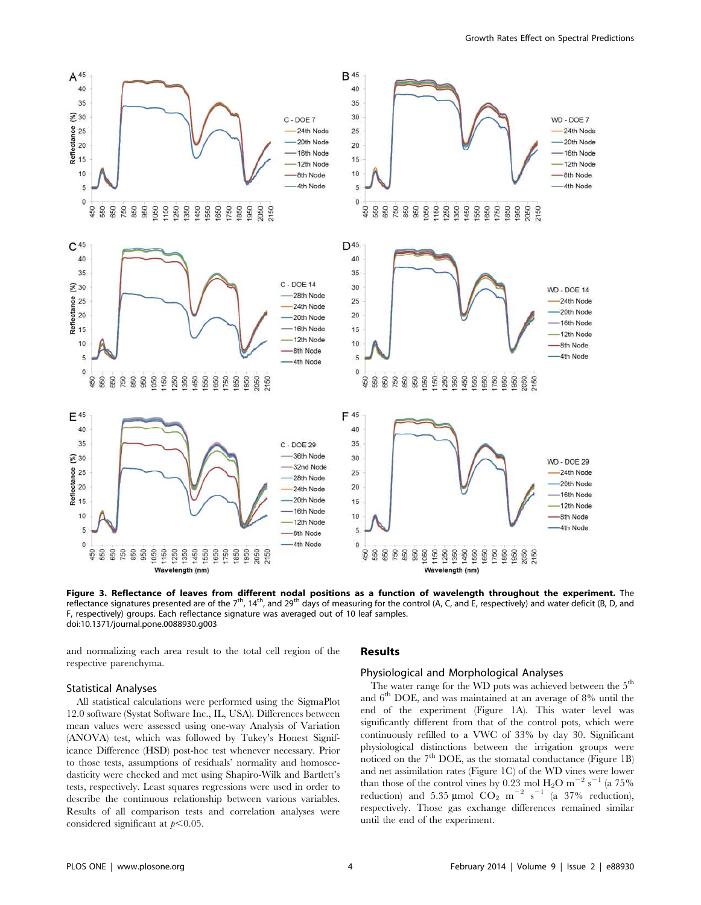

Figure 3. Reflectance of leaves from different nodal positions as a function of wavelength throughout the experiment. The reflectance signatures presented are of the  $7<sup>th</sup>$ , 14<sup>th</sup>, and 29<sup>th</sup> days of measuring for the control (A, C, and E, respectively) and water deficit (B, D, and F, respectively) groups. Each reflectance signature was averaged out of 10 leaf samples. doi:10.1371/journal.pone.0088930.g003

and normalizing each area result to the total cell region of the respective parenchyma.

#### Statistical Analyses

All statistical calculations were performed using the SigmaPlot 12.0 software (Systat Software Inc., IL, USA). Differences between mean values were assessed using one-way Analysis of Variation (ANOVA) test, which was followed by Tukey's Honest Significance Difference (HSD) post-hoc test whenever necessary. Prior to those tests, assumptions of residuals' normality and homoscedasticity were checked and met using Shapiro-Wilk and Bartlett's tests, respectively. Least squares regressions were used in order to describe the continuous relationship between various variables. Results of all comparison tests and correlation analyses were considered significant at  $p<0.05$ .

## Results

## Physiological and Morphological Analyses

The water range for the WD pots was achieved between the 5<sup>th</sup> and  $6<sup>th</sup>$  DOE, and was maintained at an average of 8% until the end of the experiment (Figure 1A). This water level was significantly different from that of the control pots, which were continuously refilled to a VWC of 33% by day 30. Significant physiological distinctions between the irrigation groups were noticed on the  $7<sup>th</sup>$  DOE, as the stomatal conductance (Figure 1B) and net assimilation rates (Figure 1C) of the WD vines were lower than those of the control vines by 0.23 mol  $\text{H}_2\text{O m}^{-2} \text{ s}^{-1}$  (a 75% reduction) and 5.35 µmol  $CO_2$  m<sup>-2</sup> s<sup>-1</sup> (a 37% reduction), respectively. Those gas exchange differences remained similar until the end of the experiment.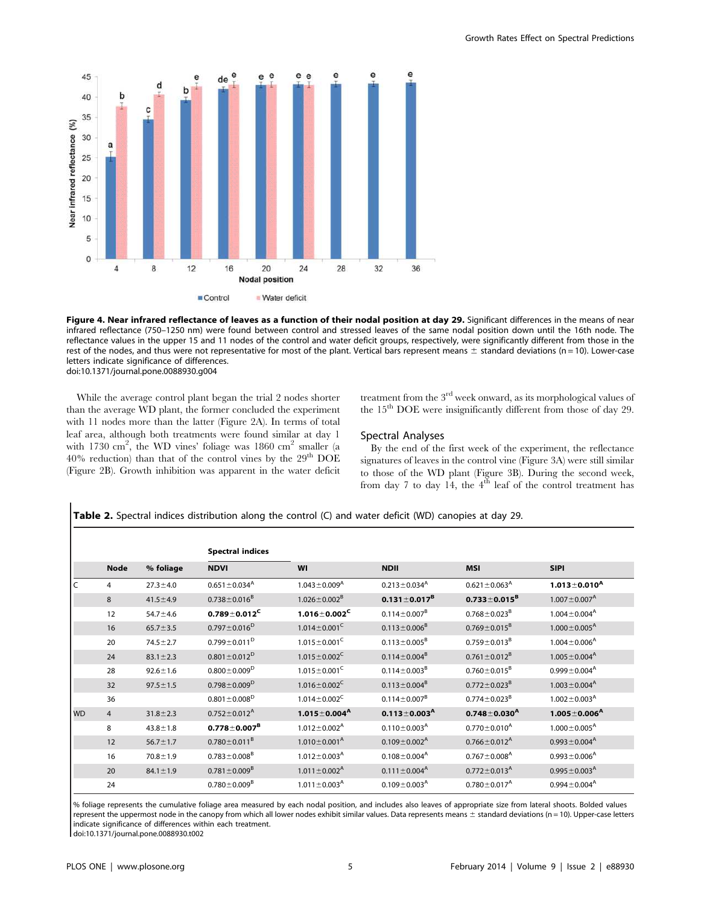

Figure 4. Near infrared reflectance of leaves as a function of their nodal position at day 29. Significant differences in the means of near infrared reflectance (750–1250 nm) were found between control and stressed leaves of the same nodal position down until the 16th node. The reflectance values in the upper 15 and 11 nodes of the control and water deficit groups, respectively, were significantly different from those in the rest of the nodes, and thus were not representative for most of the plant. Vertical bars represent means  $\pm$  standard deviations (n = 10). Lower-case letters indicate significance of differences. doi:10.1371/journal.pone.0088930.g004

While the average control plant began the trial 2 nodes shorter than the average WD plant, the former concluded the experiment with 11 nodes more than the latter (Figure 2A). In terms of total leaf area, although both treatments were found similar at day 1 with  $1730 \text{ cm}^2$ , the WD vines' foliage was  $1860 \text{ cm}^2$  smaller (a  $40\%$  reduction) than that of the control vines by the  $29<sup>th</sup>$  DOE (Figure 2B). Growth inhibition was apparent in the water deficit treatment from the 3rd week onward, as its morphological values of the 15<sup>th</sup> DOE were insignificantly different from those of day 29.

## Spectral Analyses

By the end of the first week of the experiment, the reflectance signatures of leaves in the control vine (Figure 3A) were still similar to those of the WD plant (Figure 3B). During the second week, from day 7 to day 14, the  $4<sup>th</sup>$  leaf of the control treatment has

|           |             |                | <b>Spectral indices</b>        |                                |                                |                                |                                |
|-----------|-------------|----------------|--------------------------------|--------------------------------|--------------------------------|--------------------------------|--------------------------------|
|           | <b>Node</b> | % foliage      | <b>NDVI</b>                    | WI                             | <b>NDII</b>                    | <b>MSI</b>                     | <b>SIPI</b>                    |
| C         | 4           | $27.3 \pm 4.0$ | $0.651 \pm 0.034$ <sup>A</sup> | $1.043 \pm 0.009$ <sup>A</sup> | $0.213 \pm 0.034$ <sup>A</sup> | $0.621 \pm 0.063$ <sup>A</sup> | $1.013 \pm 0.010^{\text{A}}$   |
|           | 8           | $41.5 \pm 4.9$ | $0.738 \pm 0.016^B$            | $1.026 \pm 0.002^B$            | $0.131 \pm 0.017^B$            | $0.733 \pm 0.015^B$            | $1.007 \pm 0.007^{\text{A}}$   |
|           | 12          | $54.7 \pm 4.6$ | $0.789 \pm 0.012$ <sup>C</sup> | $1.016 \pm 0.002^C$            | $0.114 \pm 0.007^B$            | $0.768 \pm 0.023^B$            | $1.004 \pm 0.004^{\text{A}}$   |
|           | 16          | $65.7 \pm 3.5$ | $0.797 \pm 0.016^D$            | $1.014 \pm 0.001^C$            | $0.113 \pm 0.006^B$            | $0.769 \pm 0.015^B$            | $1.000 \pm 0.005^{\text{A}}$   |
|           | 20          | $74.5 \pm 2.7$ | $0.799 \pm 0.011^D$            | $1.015 \pm 0.001$ <sup>C</sup> | $0.113 \pm 0.005^B$            | $0.759 \pm 0.013^B$            | $1.004 \pm 0.006$ <sup>A</sup> |
|           | 24          | $83.1 \pm 2.3$ | $0.801 \pm 0.012^D$            | $1.015 \pm 0.002^C$            | $0.114 \pm 0.004^B$            | $0.761 \pm 0.012^B$            | $1.005 \pm 0.004^{\text{A}}$   |
|           | 28          | $92.6 \pm 1.6$ | $0.800 \pm 0.009^D$            | $1.015 \pm 0.001$ <sup>C</sup> | $0.114 \pm 0.003^B$            | $0.760 \pm 0.015^B$            | $0.999 \pm 0.004^{\mathsf{A}}$ |
|           | 32          | $97.5 \pm 1.5$ | $0.798 \pm 0.009^D$            | $1.016 \pm 0.002^C$            | $0.113 \pm 0.004^B$            | $0.772 \pm 0.023^B$            | $1.003 \pm 0.004^{\text{A}}$   |
|           | 36          |                | $0.801 \pm 0.008^D$            | $1.014 \pm 0.002^C$            | $0.114 \pm 0.007^B$            | $0.774 \pm 0.023^8$            | $1.002 \pm 0.003$ <sup>A</sup> |
| <b>WD</b> | 4           | $31.8 \pm 2.3$ | $0.752 \pm 0.012^{\text{A}}$   | $1.015 \pm 0.004^{\text{A}}$   | $0.113 \pm 0.003$ <sup>A</sup> | $0.748 \pm 0.030^{A}$          | $1.005 \pm 0.006^{\text{A}}$   |
|           | 8           | $43.8 \pm 1.8$ | $0.778 \pm 0.007^B$            | $1.012 \pm 0.002$ <sup>A</sup> | $0.110 \pm 0.003$ <sup>A</sup> | $0.770 \pm 0.010^{\text{A}}$   | $1.000 \pm 0.005^{\text{A}}$   |
|           | 12          | $56.7 \pm 1.7$ | $0.780 \pm 0.011^B$            | $1.010 \pm 0.001^{\text{A}}$   | $0.109 \pm 0.002$ <sup>A</sup> | $0.766 \pm 0.012$ <sup>A</sup> | $0.993 \pm 0.004^{\text{A}}$   |
|           | 16          | $70.8 \pm 1.9$ | $0.783 \pm 0.008$ <sup>B</sup> | $1.012 \pm 0.003$ <sup>A</sup> | $0.108 \pm 0.004^{\text{A}}$   | $0.767 \pm 0.008$ <sup>A</sup> | $0.993 \pm 0.006^{\text{A}}$   |
|           | 20          | $84.1 \pm 1.9$ | $0.781 \pm 0.009^B$            | $1.011 \pm 0.002$ <sup>A</sup> | $0.111 \pm 0.004^{\text{A}}$   | $0.772 \pm 0.013^{\text{A}}$   | $0.995 \pm 0.003^{\text{A}}$   |
|           | 24          |                | $0.780 \pm 0.009^B$            | $1.011 \pm 0.003$ <sup>A</sup> | $0.109 \pm 0.003$ <sup>A</sup> | $0.780 \pm 0.017$ <sup>A</sup> | $0.994 \pm 0.004^{\text{A}}$   |

Table 2. Spectral indices distribution along the control (C) and water deficit (WD) canopies at day 29.

% foliage represents the cumulative foliage area measured by each nodal position, and includes also leaves of appropriate size from lateral shoots. Bolded values represent the uppermost node in the canopy from which all lower nodes exhibit similar values. Data represents means  $\pm$  standard deviations (n = 10). Upper-case letters indicate significance of differences within each treatment.

doi:10.1371/journal.pone.0088930.t002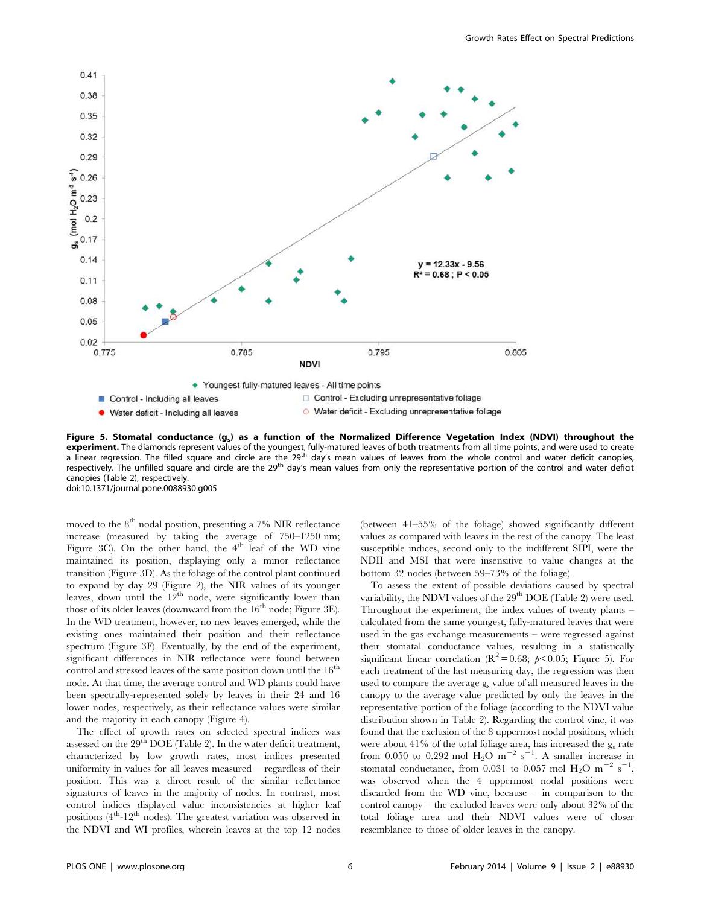

Figure 5. Stomatal conductance  $(g_s)$  as a function of the Normalized Difference Vegetation Index (NDVI) throughout the experiment. The diamonds represent values of the youngest, fully-matured leaves of both treatments from all time points, and were used to create a linear regression. The filled square and circle are the 29th day's mean values of leaves from the whole control and water deficit canopies, respectively. The unfilled square and circle are the 29<sup>th</sup> day's mean values from only the representative portion of the control and water deficit canopies (Table 2), respectively. doi:10.1371/journal.pone.0088930.g005

moved to the  $8<sup>th</sup>$  nodal position, presenting a 7% NIR reflectance increase (measured by taking the average of 750–1250 nm; Figure 3C). On the other hand, the  $4<sup>th</sup>$  leaf of the WD vine maintained its position, displaying only a minor reflectance transition (Figure 3D). As the foliage of the control plant continued to expand by day 29 (Figure 2), the NIR values of its younger leaves, down until the  $12<sup>th</sup>$  node, were significantly lower than those of its older leaves (downward from the  $16<sup>th</sup>$  node; Figure 3E). In the WD treatment, however, no new leaves emerged, while the existing ones maintained their position and their reflectance spectrum (Figure 3F). Eventually, by the end of the experiment, significant differences in NIR reflectance were found between control and stressed leaves of the same position down until the  $16<sup>th</sup>$ node. At that time, the average control and WD plants could have been spectrally-represented solely by leaves in their 24 and 16 lower nodes, respectively, as their reflectance values were similar and the majority in each canopy (Figure 4).

The effect of growth rates on selected spectral indices was assessed on the  $29<sup>th</sup>$  DOE (Table 2). In the water deficit treatment, characterized by low growth rates, most indices presented uniformity in values for all leaves measured – regardless of their position. This was a direct result of the similar reflectance signatures of leaves in the majority of nodes. In contrast, most control indices displayed value inconsistencies at higher leaf positions  $(4<sup>th</sup>-12<sup>th</sup>$  nodes). The greatest variation was observed in the NDVI and WI profiles, wherein leaves at the top 12 nodes

(between 41–55% of the foliage) showed significantly different values as compared with leaves in the rest of the canopy. The least susceptible indices, second only to the indifferent SIPI, were the NDII and MSI that were insensitive to value changes at the bottom 32 nodes (between 59–73% of the foliage).

To assess the extent of possible deviations caused by spectral variability, the NDVI values of the  $29<sup>th</sup>$  DOE (Table 2) were used. Throughout the experiment, the index values of twenty plants – calculated from the same youngest, fully-matured leaves that were used in the gas exchange measurements – were regressed against their stomatal conductance values, resulting in a statistically significant linear correlation ( $\mathbb{R}^2$  = 0.68;  $p$ <0.05; Figure 5). For each treatment of the last measuring day, the regression was then used to compare the average gs value of all measured leaves in the canopy to the average value predicted by only the leaves in the representative portion of the foliage (according to the NDVI value distribution shown in Table 2). Regarding the control vine, it was found that the exclusion of the 8 uppermost nodal positions, which were about 41% of the total foliage area, has increased the gs rate from 0.050 to 0.292 mol  $H_2O \overline{m}^{-2} s^{-1}$ . A smaller increase in stomatal conductance, from 0.031 to 0.057 mol  $H_2O$  m<sup>-2</sup> s<sup>-1</sup>, was observed when the 4 uppermost nodal positions were discarded from the WD vine, because – in comparison to the control canopy – the excluded leaves were only about 32% of the total foliage area and their NDVI values were of closer resemblance to those of older leaves in the canopy.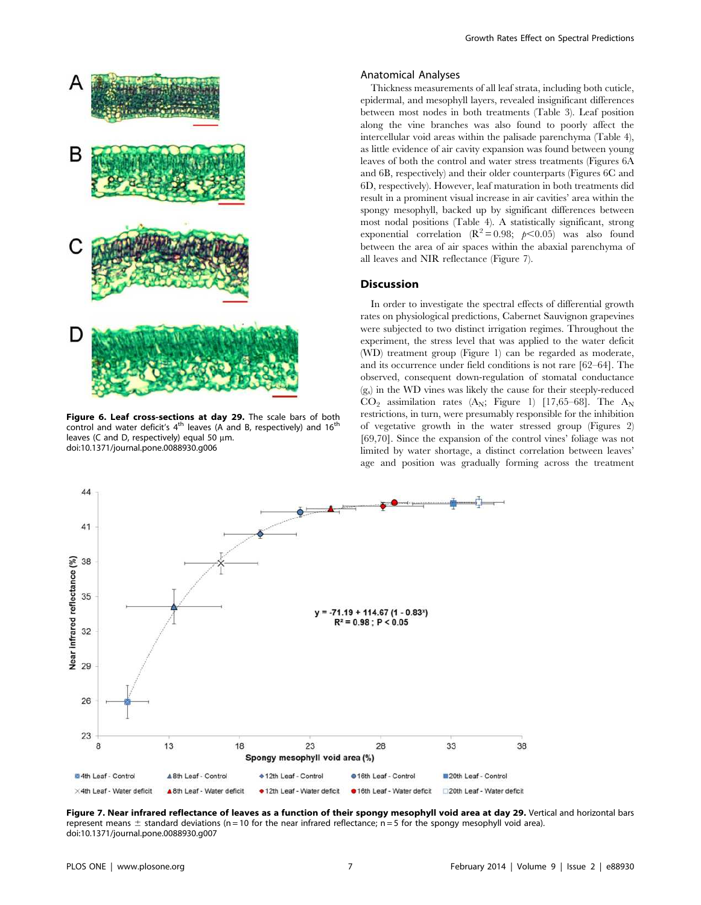

Figure 6. Leaf cross-sections at day 29. The scale bars of both control and water deficit's  $4<sup>th</sup>$  leaves (A and B, respectively) and  $16<sup>th</sup>$ leaves (C and D, respectively) equal 50  $\mu$ m. doi:10.1371/journal.pone.0088930.g006

## Anatomical Analyses

Thickness measurements of all leaf strata, including both cuticle, epidermal, and mesophyll layers, revealed insignificant differences between most nodes in both treatments (Table 3). Leaf position along the vine branches was also found to poorly affect the intercellular void areas within the palisade parenchyma (Table 4), as little evidence of air cavity expansion was found between young leaves of both the control and water stress treatments (Figures 6A and 6B, respectively) and their older counterparts (Figures 6C and 6D, respectively). However, leaf maturation in both treatments did result in a prominent visual increase in air cavities' area within the spongy mesophyll, backed up by significant differences between most nodal positions (Table 4). A statistically significant, strong exponential correlation  $(R^2 = 0.98; p<0.05)$  was also found between the area of air spaces within the abaxial parenchyma of all leaves and NIR reflectance (Figure 7).

## Discussion

In order to investigate the spectral effects of differential growth rates on physiological predictions, Cabernet Sauvignon grapevines were subjected to two distinct irrigation regimes. Throughout the experiment, the stress level that was applied to the water deficit (WD) treatment group (Figure 1) can be regarded as moderate, and its occurrence under field conditions is not rare [62–64]. The observed, consequent down-regulation of stomatal conductance (gs) in the WD vines was likely the cause for their steeply-reduced  $CO<sub>2</sub>$  assimilation rates  $(A<sub>N</sub>;$  Figure 1) [17,65–68]. The  $A<sub>N</sub>$ restrictions, in turn, were presumably responsible for the inhibition of vegetative growth in the water stressed group (Figures 2) [69,70]. Since the expansion of the control vines' foliage was not limited by water shortage, a distinct correlation between leaves' age and position was gradually forming across the treatment



Figure 7. Near infrared reflectance of leaves as a function of their spongy mesophyll void area at day 29. Vertical and horizontal bars represent means  $\pm$  standard deviations (n = 10 for the near infrared reflectance; n = 5 for the spongy mesophyll void area). doi:10.1371/journal.pone.0088930.g007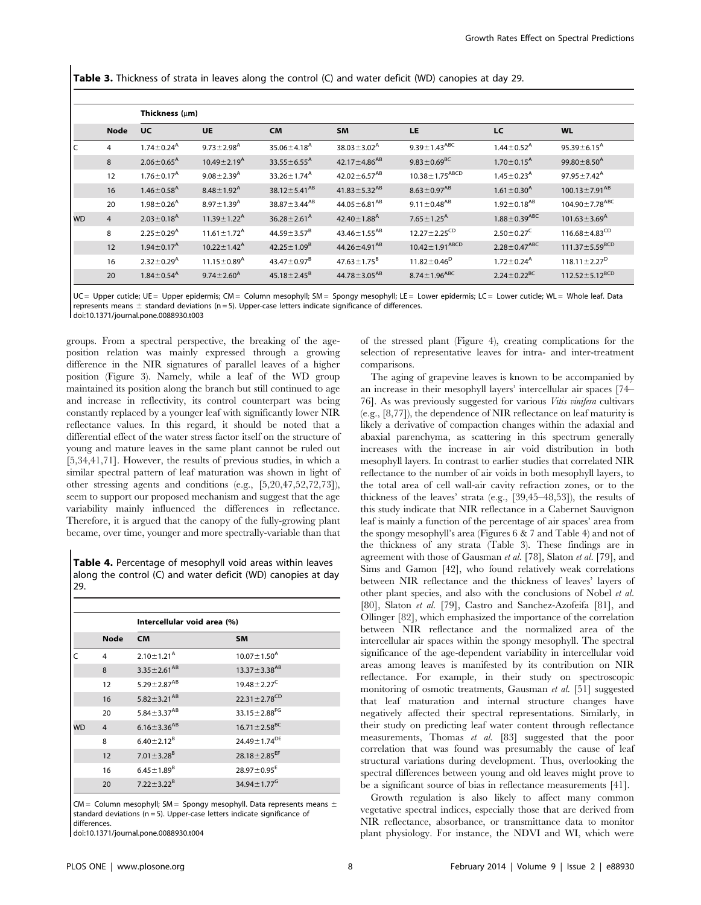Table 3. Thickness of strata in leaves along the control (C) and water deficit (WD) canopies at day 29.

|           |                | Thickness $(\mu m)$          |                               |                               |                                |                                  |                                |                                  |
|-----------|----------------|------------------------------|-------------------------------|-------------------------------|--------------------------------|----------------------------------|--------------------------------|----------------------------------|
|           | <b>Node</b>    | <b>UC</b>                    | <b>UE</b>                     | <b>CM</b>                     | <b>SM</b>                      | LE.                              | LC                             | <b>WL</b>                        |
| C         | $\overline{4}$ | $1.74 \pm 0.24$ <sup>A</sup> | $9.73 \pm 2.98$ <sup>A</sup>  | $35.06 \pm 4.18$ <sup>A</sup> | $38.03 \pm 3.02^{\text{A}}$    | 9.39 $\pm$ 1.43 $^{ABC}$         | $1.44 \pm 0.52^{\text{A}}$     | 95.39 $\pm$ 6.15 <sup>A</sup>    |
|           | 8              | $2.06 \pm 0.65^{\text{A}}$   | $10.49 \pm 2.19$ <sup>A</sup> | $33.55 \pm 6.55^{\text{A}}$   | 42.17 $\pm$ 4.86 <sup>AB</sup> | 9.83 $\pm$ 0.69 <sup>BC</sup>    | $1.70 \pm 0.15$ <sup>A</sup>   | $99.80 \pm 8.50^{\text{A}}$      |
|           | 12             | $1.76 \pm 0.17$ <sup>A</sup> | $9.08 \pm 2.39$ <sup>A</sup>  | $33.26 \pm 1.74$ <sup>A</sup> | 42.02 $\pm$ 6.57 $^{AB}$       | $10.38 \pm 1.75$ <sup>ABCD</sup> | $1.45 \pm 0.23$ <sup>A</sup>   | $97.95 \pm 7.42^{\text{A}}$      |
|           | 16             | $1.46 \pm 0.58$ <sup>A</sup> | $8.48 \pm 1.92^{\text{A}}$    | $38.12 \pm 5.41^{AB}$         | 41.83 $\pm$ 5.32 <sup>AB</sup> | $8.63 \pm 0.97$ <sup>AB</sup>    | $1.61 \pm 0.30$ <sup>A</sup>   | $100.13 \pm 7.91$ <sup>AB</sup>  |
|           | 20             | $1.98 \pm 0.26$ <sup>A</sup> | $8.97 \pm 1.39$ <sup>A</sup>  | $38.87 \pm 3.44^{AB}$         | 44.05 $\pm$ 6.81 <sup>AB</sup> | $9.11 \pm 0.48$ <sup>AB</sup>    | $1.92 \pm 0.18^{AB}$           | $104.90 \pm 7.78$ <sup>ABC</sup> |
| <b>WD</b> | $\overline{4}$ | $2.03 \pm 0.18$ <sup>A</sup> | $11.39 \pm 1.22^{\text{A}}$   | $36.28 \pm 2.61^{\text{A}}$   | $42.40 \pm 1.88$ <sup>A</sup>  | $7.65 \pm 1.25$ <sup>A</sup>     | $1.88 \pm 0.39$ <sup>ABC</sup> | $101.63 \pm 3.69$ <sup>A</sup>   |
|           | 8              | $2.25 \pm 0.29$ <sup>A</sup> | $11.61 \pm 1.72$ <sup>A</sup> | $44.59 \pm 3.57^8$            | $43.46 \pm 1.55^{AB}$          | $12.27 \pm 2.25^{\text{CD}}$     | $2.50 \pm 0.27^{\circ}$        | $116.68 \pm 4.83^{\text{CD}}$    |
|           | 12             | $1.94 \pm 0.17^{\text{A}}$   | $10.22 \pm 1.42^{\text{A}}$   | $42.25 \pm 1.09^{\text{B}}$   | $44.26 \pm 4.91^{AB}$          | $10.42 \pm 1.91^{ABCD}$          | $2.28 \pm 0.47$ <sup>ABC</sup> | $111.37 \pm 5.59^{BCD}$          |
|           | 16             | $2.32 \pm 0.29$ <sup>A</sup> | $11.15 \pm 0.89$ <sup>A</sup> | $43.47 \pm 0.97^8$            | $47.63 \pm 1.75^8$             | $11.82 \pm 0.46^D$               | $1.72 \pm 0.24$ <sup>A</sup>   | $118.11 \pm 2.27^D$              |
|           | 20             | $1.84 \pm 0.54^{\text{A}}$   | $9.74 \pm 2.60$ <sup>A</sup>  | $45.18 \pm 2.45^B$            | $44.78 \pm 3.05^{AB}$          | $8.74 \pm 1.96$ <sup>ABC</sup>   | $2.24 \pm 0.22^{BC}$           | $112.52 \pm 5.12^{BCD}$          |

UC = Upper cuticle; UE = Upper epidermis; CM = Column mesophyll; SM = Spongy mesophyll; LE = Lower epidermis; LC = Lower cuticle; WL = Whole leaf. Data represents means  $\pm$  standard deviations (n = 5). Upper-case letters indicate significance of differences.

doi:10.1371/journal.pone.0088930.t003

groups. From a spectral perspective, the breaking of the ageposition relation was mainly expressed through a growing difference in the NIR signatures of parallel leaves of a higher position (Figure 3). Namely, while a leaf of the WD group maintained its position along the branch but still continued to age and increase in reflectivity, its control counterpart was being constantly replaced by a younger leaf with significantly lower NIR reflectance values. In this regard, it should be noted that a differential effect of the water stress factor itself on the structure of young and mature leaves in the same plant cannot be ruled out [5,34,41,71]. However, the results of previous studies, in which a similar spectral pattern of leaf maturation was shown in light of other stressing agents and conditions (e.g., [5,20,47,52,72,73]), seem to support our proposed mechanism and suggest that the age variability mainly influenced the differences in reflectance. Therefore, it is argued that the canopy of the fully-growing plant became, over time, younger and more spectrally-variable than that

Table 4. Percentage of mesophyll void areas within leaves along the control (C) and water deficit (WD) canopies at day 29.

|           |                | Intercellular void area (%)  |                                |  |  |
|-----------|----------------|------------------------------|--------------------------------|--|--|
|           | <b>Node</b>    | <b>CM</b>                    | <b>SM</b>                      |  |  |
|           | 4              | $2.10 \pm 1.21^{\text{A}}$   | $10.07 \pm 1.50$ <sup>A</sup>  |  |  |
|           | 8              | $3.35 \pm 2.61^{AB}$         | $13.37 \pm 3.38$ <sup>AB</sup> |  |  |
|           | 12             | $5.29 \pm 2.87^{AB}$         | $19.48 \pm 2.27^C$             |  |  |
|           | 16             | $5.82 \pm 3.21^{AB}$         | $22.31 \pm 2.78^{CD}$          |  |  |
|           | 20             | $5.84 \pm 3.37^{AB}$         | $33.15 \pm 2.88^{FG}$          |  |  |
| <b>WD</b> | $\overline{4}$ | $6.16 \pm 3.36^{AB}$         | $16.71 \pm 2.58$ <sup>BC</sup> |  |  |
|           | 8              | $6.40 \pm 2.12^B$            | $24.49 \pm 1.74^{DE}$          |  |  |
|           | 12             | $7.01 \pm 3.28$ <sup>B</sup> | 28.18 $\pm$ 2.85 <sup>EF</sup> |  |  |
|           | 16             | $6.45 \pm 1.89^{B}$          | $28.97 \pm 0.95^E$             |  |  |
|           | 20             | $7.22 \pm 3.22^B$            | $34.94 \pm 1.77$ <sup>G</sup>  |  |  |

CM = Column mesophyll; SM = Spongy mesophyll. Data represents means  $\pm$ standard deviations (n = 5). Upper-case letters indicate significance of differences.

doi:10.1371/journal.pone.0088930.t004

of the stressed plant (Figure 4), creating complications for the selection of representative leaves for intra- and inter-treatment comparisons.

The aging of grapevine leaves is known to be accompanied by an increase in their mesophyll layers' intercellular air spaces [74– 76]. As was previously suggested for various Vitis vinifera cultivars (e.g., [8,77]), the dependence of NIR reflectance on leaf maturity is likely a derivative of compaction changes within the adaxial and abaxial parenchyma, as scattering in this spectrum generally increases with the increase in air void distribution in both mesophyll layers. In contrast to earlier studies that correlated NIR reflectance to the number of air voids in both mesophyll layers, to the total area of cell wall-air cavity refraction zones, or to the thickness of the leaves' strata (e.g., [39,45–48,53]), the results of this study indicate that NIR reflectance in a Cabernet Sauvignon leaf is mainly a function of the percentage of air spaces' area from the spongy mesophyll's area (Figures 6 & 7 and Table 4) and not of the thickness of any strata (Table 3). These findings are in agreement with those of Gausman et al. [78], Slaton et al. [79], and Sims and Gamon [42], who found relatively weak correlations between NIR reflectance and the thickness of leaves' layers of other plant species, and also with the conclusions of Nobel et al. [80], Slaton et al. [79], Castro and Sanchez-Azofeifa [81], and Ollinger [82], which emphasized the importance of the correlation between NIR reflectance and the normalized area of the intercellular air spaces within the spongy mesophyll. The spectral significance of the age-dependent variability in intercellular void areas among leaves is manifested by its contribution on NIR reflectance. For example, in their study on spectroscopic monitoring of osmotic treatments, Gausman et al. [51] suggested that leaf maturation and internal structure changes have negatively affected their spectral representations. Similarly, in their study on predicting leaf water content through reflectance measurements, Thomas et al. [83] suggested that the poor correlation that was found was presumably the cause of leaf structural variations during development. Thus, overlooking the spectral differences between young and old leaves might prove to be a significant source of bias in reflectance measurements [41].

Growth regulation is also likely to affect many common vegetative spectral indices, especially those that are derived from NIR reflectance, absorbance, or transmittance data to monitor plant physiology. For instance, the NDVI and WI, which were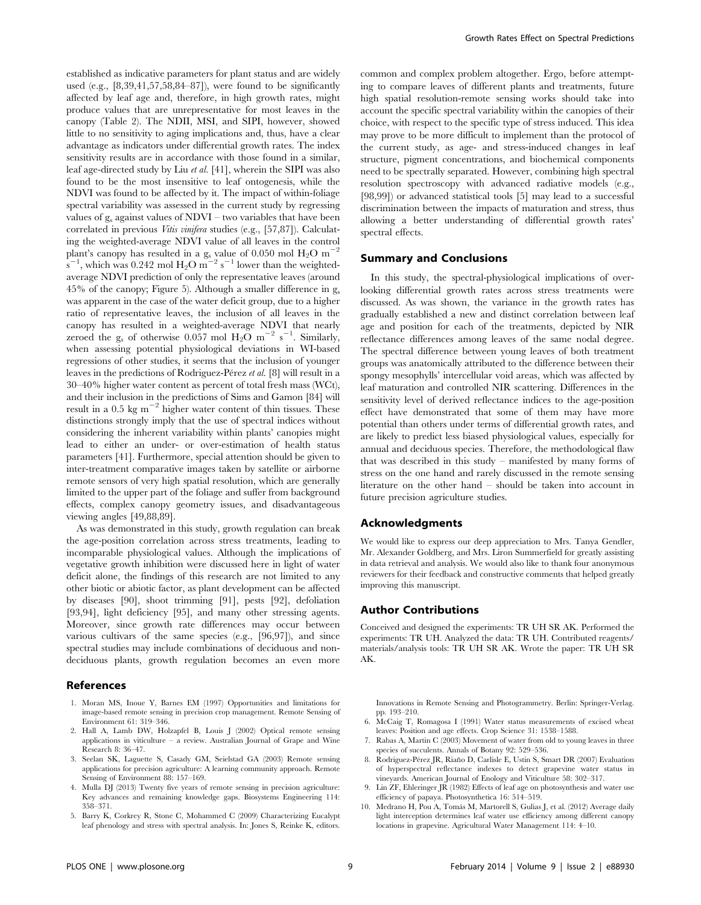established as indicative parameters for plant status and are widely used (e.g., [8,39,41,57,58,84–87]), were found to be significantly affected by leaf age and, therefore, in high growth rates, might produce values that are unrepresentative for most leaves in the canopy (Table 2). The NDII, MSI, and SIPI, however, showed little to no sensitivity to aging implications and, thus, have a clear advantage as indicators under differential growth rates. The index sensitivity results are in accordance with those found in a similar, leaf age-directed study by Liu et al. [41], wherein the SIPI was also found to be the most insensitive to leaf ontogenesis, while the NDVI was found to be affected by it. The impact of within-foliage spectral variability was assessed in the current study by regressing values of  $g_s$  against values of NDVI – two variables that have been correlated in previous Vitis vinifera studies (e.g., [57,87]). Calculating the weighted-average NDVI value of all leaves in the control plant's canopy has resulted in a g, value of 0.050 mol  $H_2O$  m<sup>-2</sup>  $\sin^{-1}$ , which was 0.242 mol H<sub>2</sub>O m<sup>-2</sup> s<sup>-1</sup> lower than the weightedaverage NDVI prediction of only the representative leaves (around 45% of the canopy; Figure 5). Although a smaller difference in  $g_s$ was apparent in the case of the water deficit group, due to a higher ratio of representative leaves, the inclusion of all leaves in the canopy has resulted in a weighted-average NDVI that nearly zeroed the  $g_s$  of otherwise 0.057 mol  $H_2O$  m<sup>-2</sup> s<sup>-1</sup>. Similarly, when assessing potential physiological deviations in WI-based regressions of other studies, it seems that the inclusion of younger leaves in the predictions of Rodriguez-Pérez et al. [8] will result in a 30–40% higher water content as percent of total fresh mass (WCt), and their inclusion in the predictions of Sims and Gamon [84] will result in a 0.5 kg  $m^{-2}$  higher water content of thin tissues. These distinctions strongly imply that the use of spectral indices without considering the inherent variability within plants' canopies might lead to either an under- or over-estimation of health status parameters [41]. Furthermore, special attention should be given to inter-treatment comparative images taken by satellite or airborne remote sensors of very high spatial resolution, which are generally limited to the upper part of the foliage and suffer from background effects, complex canopy geometry issues, and disadvantageous viewing angles [49,88,89].

As was demonstrated in this study, growth regulation can break the age-position correlation across stress treatments, leading to incomparable physiological values. Although the implications of vegetative growth inhibition were discussed here in light of water deficit alone, the findings of this research are not limited to any other biotic or abiotic factor, as plant development can be affected by diseases [90], shoot trimming [91], pests [92], defoliation [93,94], light deficiency [95], and many other stressing agents. Moreover, since growth rate differences may occur between various cultivars of the same species (e.g., [96,97]), and since spectral studies may include combinations of deciduous and nondeciduous plants, growth regulation becomes an even more

## References

- 1. Moran MS, Inoue Y, Barnes EM (1997) Opportunities and limitations for image-based remote sensing in precision crop management. Remote Sensing of Environment 61: 319–346.
- 2. Hall A, Lamb DW, Holzapfel B, Louis J (2002) Optical remote sensing applications in viticulture – a review. Australian Journal of Grape and Wine Research 8: 36–47.
- 3. Seelan SK, Laguette S, Casady GM, Seielstad GA (2003) Remote sensing applications for precision agriculture: A learning community approach. Remote Sensing of Environment 88: 157–169.
- 4. Mulla DJ (2013) Twenty five years of remote sensing in precision agriculture: Key advances and remaining knowledge gaps. Biosystems Engineering 114: 358–371.
- 5. Barry K, Corkrey R, Stone C, Mohammed C (2009) Characterizing Eucalypt leaf phenology and stress with spectral analysis. In: Jones S, Reinke K, editors.

common and complex problem altogether. Ergo, before attempting to compare leaves of different plants and treatments, future high spatial resolution-remote sensing works should take into account the specific spectral variability within the canopies of their choice, with respect to the specific type of stress induced. This idea may prove to be more difficult to implement than the protocol of the current study, as age- and stress-induced changes in leaf structure, pigment concentrations, and biochemical components need to be spectrally separated. However, combining high spectral resolution spectroscopy with advanced radiative models (e.g., [98,99]) or advanced statistical tools [5] may lead to a successful discrimination between the impacts of maturation and stress, thus allowing a better understanding of differential growth rates' spectral effects.

### Summary and Conclusions

In this study, the spectral-physiological implications of overlooking differential growth rates across stress treatments were discussed. As was shown, the variance in the growth rates has gradually established a new and distinct correlation between leaf age and position for each of the treatments, depicted by NIR reflectance differences among leaves of the same nodal degree. The spectral difference between young leaves of both treatment groups was anatomically attributed to the difference between their spongy mesophylls' intercellular void areas, which was affected by leaf maturation and controlled NIR scattering. Differences in the sensitivity level of derived reflectance indices to the age-position effect have demonstrated that some of them may have more potential than others under terms of differential growth rates, and are likely to predict less biased physiological values, especially for annual and deciduous species. Therefore, the methodological flaw that was described in this study – manifested by many forms of stress on the one hand and rarely discussed in the remote sensing literature on the other hand – should be taken into account in future precision agriculture studies.

## Acknowledgments

We would like to express our deep appreciation to Mrs. Tanya Gendler, Mr. Alexander Goldberg, and Mrs. Liron Summerfield for greatly assisting in data retrieval and analysis. We would also like to thank four anonymous reviewers for their feedback and constructive comments that helped greatly improving this manuscript.

#### Author Contributions

Conceived and designed the experiments: TR UH SR AK. Performed the experiments: TR UH. Analyzed the data: TR UH. Contributed reagents/ materials/analysis tools: TR UH SR AK. Wrote the paper: TR UH SR AK.

Innovations in Remote Sensing and Photogrammetry. Berlin: Springer-Verlag. pp. 193–210.

- 6. McCaig T, Romagosa I (1991) Water status measurements of excised wheat leaves: Position and age effects. Crop Science 31: 1538–1588.
- 7. Rabas A, Martin C (2003) Movement of water from old to young leaves in three species of succulents. Annals of Botany 92: 529–536.
- 8. Rodriguez-Pérez JR, Riaño D, Carlisle E, Ustin S, Smart DR (2007) Evaluation of hyperspectral reflectance indexes to detect grapevine water status in vineyards. American Journal of Enology and Viticulture 58: 302–317.
- 9. Lin ZF, Ehleringer JR (1982) Effects of leaf age on photosynthesis and water use efficiency of papaya. Photosynthetica 16: 514–519.
- 10. Medrano H, Pou A, Tomás M, Martorell S, Gulias J, et al. (2012) Average daily light interception determines leaf water use efficiency among different canopy locations in grapevine. Agricultural Water Management 114: 4–10.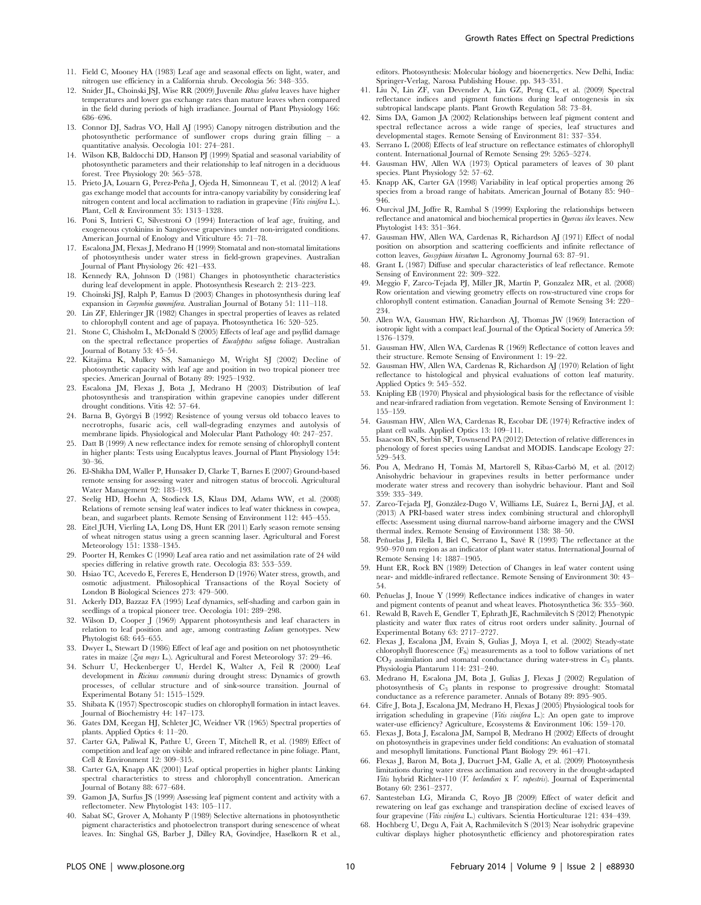- 11. Field C, Mooney HA (1983) Leaf age and seasonal effects on light, water, and nitrogen use efficiency in a California shrub. Oecologia 56: 348–355.
- 12. Snider JL, Choinski JSJ, Wise RR (2009) Juvenile Rhus glabra leaves have higher temperatures and lower gas exchange rates than mature leaves when compared in the field during periods of high irradiance. Journal of Plant Physiology 166: 686–696.
- 13. Connor DJ, Sadras VO, Hall AJ (1995) Canopy nitrogen distribution and the photosynthetic performance of sunflower crops during grain filling – a quantitative analysis. Oecologia 101: 274–281.
- 14. Wilson KB, Baldocchi DD, Hanson PJ (1999) Spatial and seasonal variability of photosynthetic parameters and their relationship to leaf nitrogen in a deciduous forest. Tree Physiology 20: 565–578.
- 15. Prieto JA, Louarn G, Perez-Peña J, Ojeda H, Simonneau T, et al. (2012) A leaf gas exchange model that accounts for intra-canopy variability by considering leaf nitrogen content and local acclimation to radiation in grapevine (Vitis vinifera L.). Plant, Cell & Environment 35: 1313–1328.
- 16. Poni S, Intrieri C, Silvestroni O (1994) Interaction of leaf age, fruiting, and exogeneous cytokinins in Sangiovese grapevines under non-irrigated conditions. American Journal of Enology and Viticulture 45: 71–78.
- 17. Escalona JM, Flexas J, Medrano H (1999) Stomatal and non-stomatal limitations of photosynthesis under water stress in field-grown grapevines. Australian Journal of Plant Physiology 26: 421–433.
- 18. Kennedy RA, Johnson D (1981) Changes in photosynthetic characteristics during leaf development in apple. Photosynthesis Research 2: 213–223.
- 19. Choinski JSJ, Ralph P, Eamus D (2003) Changes in photosynthesis during leaf expansion in Corymbia gummifera. Australian Journal of Botany 51: 111-118.
- 20. Lin ZF, Ehleringer JR (1982) Changes in spectral properties of leaves as related to chlorophyll content and age of papaya. Photosynthetica 16: 520–525.
- 21. Stone C, Chisholm L, McDonald S (2005) Effects of leaf age and psyllid damage on the spectral reflectance properties of Eucalyptus saligna foliage. Australian Journal of Botany 53: 45–54.
- 22. Kitajima K, Mulkey SS, Samaniego M, Wright SJ (2002) Decline of photosynthetic capacity with leaf age and position in two tropical pioneer tree species. American Journal of Botany 89: 1925–1932.
- 23. Escalona JM, Flexas J, Bota J, Medrano H (2003) Distribution of leaf photosynthesis and transpiration within grapevine canopies under different drought conditions. Vitis 42: 57–64.
- 24. Barna B, Györgyi B (1992) Resistence of young versus old tobacco leaves to necrotrophs, fusaric acis, cell wall-degrading enzymes and autolysis of membrane lipids. Physiological and Molecular Plant Pathology 40: 247–257.
- 25. Datt B (1999) A new reflectance index for remote sensing of chlorophyll content in higher plants: Tests using Eucalyptus leaves. Journal of Plant Physiology 154: 30–36.
- 26. El-Shikha DM, Waller P, Hunsaker D, Clarke T, Barnes E (2007) Ground-based remote sensing for assessing water and nitrogen status of broccoli. Agricultural Water Management 92: 183–193.
- 27. Seelig HD, Hoehn A, Stodieck LS, Klaus DM, Adams WW, et al. (2008) Relations of remote sensing leaf water indices to leaf water thickness in cowpea, bean, and sugarbeet plants. Remote Sensing of Environment 112: 445–455.
- 28. Eitel JUH, Vierling LA, Long DS, Hunt ER (2011) Early season remote sensing of wheat nitrogen status using a green scanning laser. Agricultural and Forest Meteorology 151: 1338–1345.
- 29. Poorter H, Remkes C (1990) Leaf area ratio and net assimilation rate of 24 wild species differing in relative growth rate. Oecologia 83: 553–559.
- 30. Hsiao TC, Acevedo E, Fereres E, Henderson D (1976) Water stress, growth, and osmotic adjustment. Philosophical Transactions of the Royal Society of London B Biological Sciences 273: 479–500.
- 31. Ackerly DD, Bazzaz FA (1995) Leaf dynamics, self-shading and carbon gain in seedlings of a tropical pioneer tree. Oecologia 101: 289–298.
- 32. Wilson D, Cooper J (1969) Apparent photosynthesis and leaf characters in relation to leaf position and age, among contrasting Lolium genotypes. New Phytologist 68: 645–655.
- 33. Dwyer L, Stewart D (1986) Effect of leaf age and position on net photosynthetic rates in maize (Zea mays L.). Agricultural and Forest Meteorology 37: 29–46.
- 34. Schurr U, Heckenberger U, Herdel K, Walter A, Feil R (2000) Leaf development in Ricinus communis during drought stress: Dynamics of growth processes, of cellular structure and of sink-source transition. Journal of Experimental Botany 51: 1515–1529.
- 35. Shibata K (1957) Spectroscopic studies on chlorophyll formation in intact leaves. Journal of Biochemistry 44: 147–173.
- 36. Gates DM, Keegan HJ, Schleter JC, Weidner VR (1965) Spectral properties of plants. Applied Optics 4: 11–20.
- 37. Carter GA, Paliwal K, Pathre U, Green T, Mitchell R, et al. (1989) Effect of competition and leaf age on visible and infrared reflectance in pine foliage. Plant, Cell & Environment 12: 309–315.
- 38. Carter GA, Knapp AK (2001) Leaf optical properties in higher plants: Linking spectral characteristics to stress and chlorophyll concentration. American Journal of Botany 88: 677–684.
- 39. Gamon JA, Surfus JS (1999) Assessing leaf pigment content and activity with a reflectometer. New Phytologist 143: 105–117.
- 40. Sabat SC, Grover A, Mohanty P (1989) Selective alternations in photosynthetic pigment characteristics and photoelectron transport during senescence of wheat leaves. In: Singhal GS, Barber J, Dilley RA, Govindjee, Haselkorn R et al.,

editors. Photosynthesis: Molecular biology and bioenergetics. New Delhi, India: Springer-Verlag, Narosa Publishing House. pp. 343–351.

- 41. Liu N, Lin ZF, van Devender A, Lin GZ, Peng CL, et al. (2009) Spectral reflectance indices and pigment functions during leaf ontogenesis in six subtropical landscape plants. Plant Growth Regulation 58: 73–84.
- 42. Sims DA, Gamon JA (2002) Relationships between leaf pigment content and spectral reflectance across a wide range of species, leaf structures and developmental stages. Remote Sensing of Environment 81: 337–354.
- 43. Serrano L (2008) Effects of leaf structure on reflectance estimates of chlorophyll content. International Journal of Remote Sensing 29: 5265–5274.
- 44. Gausman HW, Allen WA (1973) Optical parameters of leaves of 30 plant species. Plant Physiology 52: 57–62.
- 45. Knapp AK, Carter GA (1998) Variability in leaf optical properties among 26 species from a broad range of habitats. American Journal of Botany 85: 940– 946.
- 46. Ourcival JM, Joffre R, Rambal S (1999) Exploring the relationships between reflectance and anatomical and biochemical properties in Quercus ilex leaves. New Phytologist 143: 351–364.
- 47. Gausman HW, Allen WA, Cardenas R, Richardson AJ (1971) Effect of nodal position on absorption and scattering coefficients and infinite reflectance of cotton leaves, Gossypium hirsutum L. Agronomy Journal 63: 87–91.
- 48. Grant L (1987) Diffuse and specular characteristics of leaf reflectance. Remote Sensing of Environment 22: 309–322.
- 49. Meggio F, Zarco-Tejada PJ, Miller JR, Martín P, Gonzalez MR, et al. (2008) Row orientation and viewing geometry effects on row-structured vine crops for chlorophyll content estimation. Canadian Journal of Remote Sensing 34: 220– 234.
- 50. Allen WA, Gausman HW, Richardson AJ, Thomas JW (1969) Interaction of isotropic light with a compact leaf. Journal of the Optical Society of America 59: 1376–1379.
- 51. Gausman HW, Allen WA, Cardenas R (1969) Reflectance of cotton leaves and their structure. Remote Sensing of Environment 1: 19–22.
- 52. Gausman HW, Allen WA, Cardenas R, Richardson AJ (1970) Relation of light reflectance to histological and physical evaluations of cotton leaf maturity. Applied Optics 9: 545–552.
- 53. Knipling EB (1970) Physical and physiological basis for the reflectance of visible and near-infrared radiation from vegetation. Remote Sensing of Environment 1: 155–159.
- 54. Gausman HW, Allen WA, Cardenas R, Escobar DE (1974) Refractive index of plant cell walls. Applied Optics 13: 109–111.
- 55. Isaacson BN, Serbin SP, Townsend PA (2012) Detection of relative differences in phenology of forest species using Landsat and MODIS. Landscape Ecology 27: 529–543.
- 56. Pou A, Medrano H, Tomàs M, Martorell S, Ribas-Carbó M, et al. (2012) Anisohydric behaviour in grapevines results in better performance under moderate water stress and recovery than isohydric behaviour. Plant and Soil 359: 335–349.
- 57. Zarco-Tejada PJ, González-Dugo V, Williams LE, Suárez L, Berni JAJ, et al. (2013) A PRI-based water stress index combining structural and chlorophyll effects: Assessment using diurnal narrow-band airborne imagery and the CWSI thermal index. Remote Sensing of Environment 138: 38–50.
- 58. Peñuelas J, Filella I, Biel C, Serrano L, Savé R (1993) The reflectance at the 950–970 nm region as an indicator of plant water status. International Journal of Remote Sensing 14: 1887–1905.
- 59. Hunt ER, Rock BN (1989) Detection of Changes in leaf water content using near- and middle-infrared reflectance. Remote Sensing of Environment 30: 43– 54.
- 60. Peñuelas J, Inoue Y (1999) Reflectance indices indicative of changes in water and pigment contents of peanut and wheat leaves. Photosynthetica 36: 355–360.
- 61. Rewald B, Raveh E, Gendler T, Ephrath JE, Rachmilevitch S (2012) Phenotypic plasticity and water flux rates of citrus root orders under salinity. Journal of Experimental Botany 63: 2717–2727.
- 62. Flexas J, Escalona JM, Evain S, Gulias J, Moya I, et al. (2002) Steady-state chlorophyll fluorescence  $(F_S)$  measurements as a tool to follow variations of net  $CO<sub>2</sub>$  assimilation and stomatal conductance during water-stress in  $C<sub>3</sub>$  plants. Physiologia Plantarum 114: 231–240.
- 63. Medrano H, Escalona JM, Bota J, Gulias J, Flexas J (2002) Regulation of photosynthesis of C3 plants in response to progressive drought: Stomatal conductance as a reference parameter. Annals of Botany 89: 895–905.
- 64. Cifre J, Bota J, Escalona JM, Medrano H, Flexas J (2005) Physiological tools for irrigation scheduling in grapevine (Vitis vinifera L.): An open gate to improve water-use efficiency? Agriculture, Ecosystems & Environment 106: 159–170.
- 65. Flexas J, Bota J, Escalona JM, Sampol B, Medrano H (2002) Effects of drought on photosyntheis in grapevines under field conditions: An evaluation of stomatal and mesophyll limitations. Functional Plant Biology 29: 461–471.
- 66. Flexas J, Baron M, Bota J, Ducruet J-M, Galle A, et al. (2009) Photosynthesis limitations during water stress acclimation and recovery in the drought-adapted Vitis hybrid Richter-110 (V. berlandieri x V. rupestris). Journal of Experimental Botany 60: 2361–2377.
- 67. Santesteban LG, Miranda C, Royo JB (2009) Effect of water deficit and rewatering on leaf gas exchange and transpiration decline of excised leaves of four grapevine (Vitis vinifera L.) cultivars. Scientia Horticulturae 121: 434–439.
- 68. Hochberg U, Degu A, Fait A, Rachmilevitch S (2013) Near isohydric grapevine cultivar displays higher photosynthetic efficiency and photorespiration rates